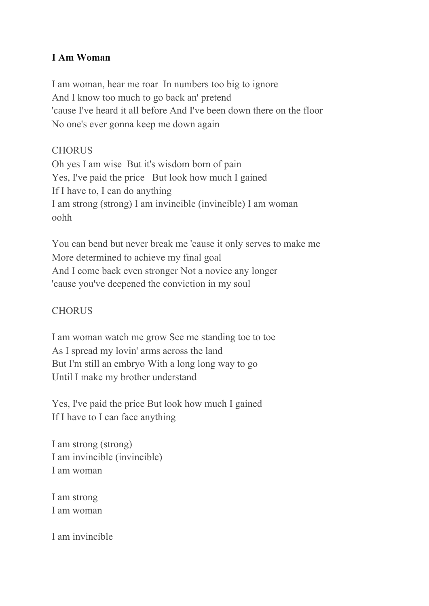## **I Am Woman**

I am woman, hear me roar In numbers too big to ignore And I know too much to go back an' pretend 'cause I've heard it all before And I've been down there on the floor No one's ever gonna keep me down again

## **CHORUS**

Oh yes I am wise But it's wisdom born of pain Yes, I've paid the price But look how much I gained If I have to, I can do anything I am strong (strong) I am invincible (invincible) I am woman oohh

You can bend but never break me 'cause it only serves to make me More determined to achieve my final goal And I come back even stronger Not a novice any longer 'cause you've deepened the conviction in my soul

## **CHORUS**

I am woman watch me grow See me standing toe to toe As I spread my lovin' arms across the land But I'm still an embryo With a long long way to go Until I make my brother understand

Yes, I've paid the price But look how much I gained If I have to I can face anything

I am strong (strong) I am invincible (invincible) I am woman

I am strong I am woman

I am invincible